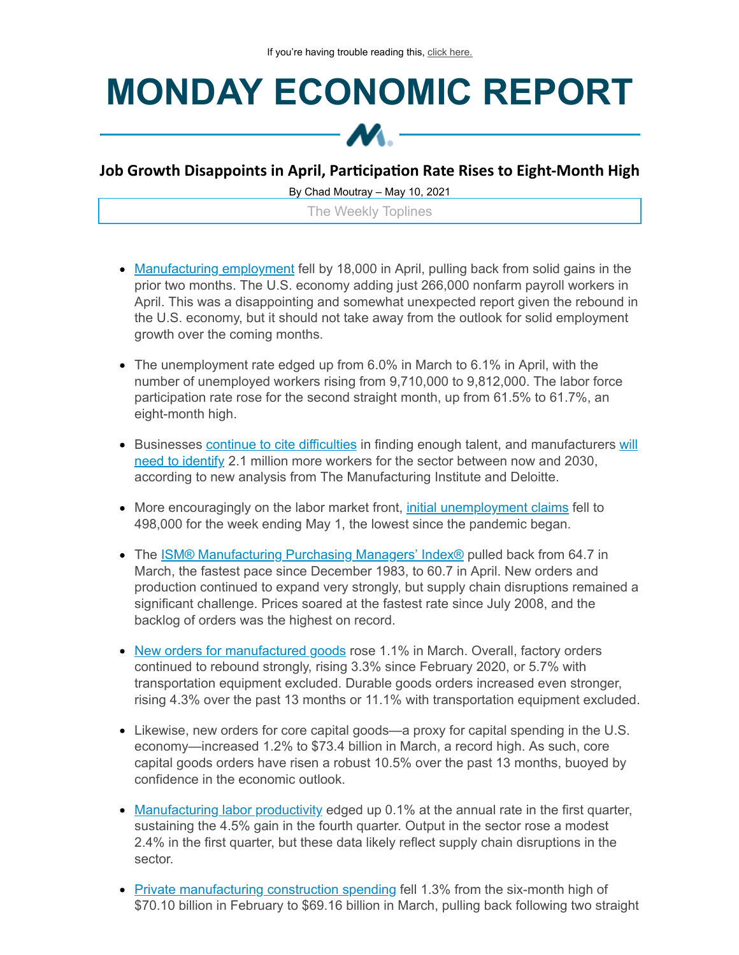## **MONDAY ECONOMIC REPORT**



## **Job Growth Disappoints in April, Parcipaon Rate Rises to Eight-Month High**

By Chad Moutray – May 10, 2021

The Weekly Toplines

- [Manufacturing](https://click.email.nam.org/?qs=302f4531f32e0b53dc5aeefce8cf1acfa61820bbc6a417cea716432fd9ebb0ea323d63f4a1250710728cee375a94bda68d66800f809691088bcc37e99a0fbb24) employment fell by 18,000 in April, pulling back from solid gains in the prior two months. The U.S. economy adding just 266,000 nonfarm payroll workers in April. This was a disappointing and somewhat unexpected report given the rebound in the U.S. economy, but it should not take away from the outlook for solid employment growth over the coming months.
- The unemployment rate edged up from 6.0% in March to 6.1% in April, with the number of unemployed workers rising from 9,710,000 to 9,812,000. The labor force participation rate rose for the second straight month, up from 61.5% to 61.7%, an eight-month high.
- Businesses continue to cite [difficulties](https://click.email.nam.org/?qs=302f4531f32e0b53eac468833fa8b6001a15a9d346ea1a1e8151d9700065f1f23b2b13b23ac86b99fbe5fe2a07572d0a7cddc3c2fe95cb8d1372bce8728220f6) in finding enough talent, and [manufacturers](https://click.email.nam.org/?qs=302f4531f32e0b537f78f04d4cac1594f164cd6173fd41844b17d237e3470c43aa21c7069705db9d6112d01d5c25742e675f7c786298145558418ccb93994766) will need to identify 2.1 million more workers for the sector between now and 2030, according to new analysis from The Manufacturing Institute and Deloitte.
- More encouragingly on the labor market front, *initial [unemployment](https://click.email.nam.org/?qs=302f4531f32e0b531096ed3cfb6ccc66864c1daa022373f8b9cca14c70cb6b50c289e48bc3aeef55c698ed26b76575ea22a9a6410bd7309b5e10ab116580f33c) claims* fell to 498,000 for the week ending May 1, the lowest since the pandemic began.
- The **ISM® [Manufacturing](https://click.email.nam.org/?qs=302f4531f32e0b531c12db946b4c14eec7516f3ad99fa413b7be329fff14827e1b9b34f2a4d229fdab01f4f4f2add5a65394509bbb854e5b0670e0d0b4a7d714) Purchasing Managers' Index®** pulled back from 64.7 in March, the fastest pace since December 1983, to 60.7 in April. New orders and production continued to expand very strongly, but supply chain disruptions remained a significant challenge. Prices soared at the fastest rate since July 2008, and the backlog of orders was the highest on record.
- New orders for [manufactured](https://click.email.nam.org/?qs=302f4531f32e0b53e156746c89300c203c39fcb0c07c1e6307ae9adcf13c46d048644c0e751d3df51358595a7824e199342a40333efa86f345d31cf24d135563) goods rose 1.1% in March. Overall, factory orders continued to rebound strongly, rising 3.3% since February 2020, or 5.7% with transportation equipment excluded. Durable goods orders increased even stronger, rising 4.3% over the past 13 months or 11.1% with transportation equipment excluded.
- Likewise, new orders for core capital goods—a proxy for capital spending in the U.S. economy—increased 1.2% to \$73.4 billion in March, a record high. As such, core capital goods orders have risen a robust 10.5% over the past 13 months, buoyed by confidence in the economic outlook.
- [Manufacturing](https://click.email.nam.org/?qs=302f4531f32e0b53156f8dcdc871725e6193357598944ab37139567784ae9848bacc21e380ded9590f6f244e014382975a6181759f75007e69b7f57dd63a51a4) labor productivity edged up 0.1% at the annual rate in the first quarter, sustaining the 4.5% gain in the fourth quarter. Output in the sector rose a modest 2.4% in the first quarter, but these data likely reflect supply chain disruptions in the sector.
- Private [manufacturing](https://click.email.nam.org/?qs=302f4531f32e0b537886c46c12a70c54ea3d3c7259905007f08f9ae3dc78cb9c40e626a129c9975ae63f7e14ea98c1bfa09c554e7c24b944942d931f3a8eaf72) construction spending fell 1.3% from the six-month high of \$70.10 billion in February to \$69.16 billion in March, pulling back following two straight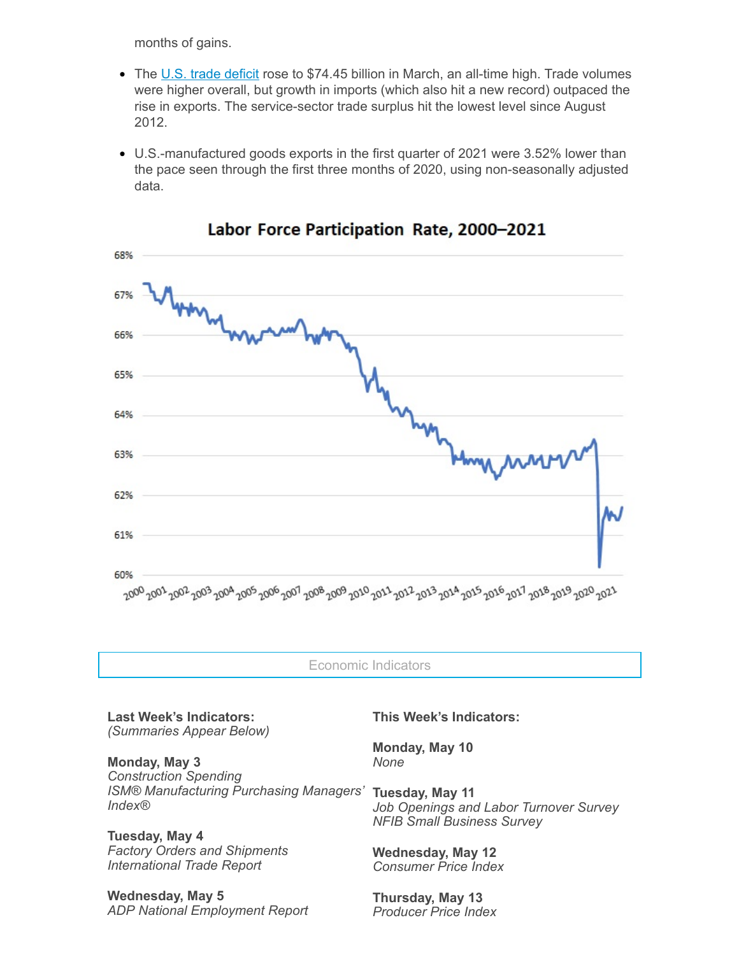months of gains.

- The U.S. trade [deficit](https://click.email.nam.org/?qs=302f4531f32e0b536df58d4c72e3b1c1c2862406f16f386fcc67bb89cdec9fd08bf722bdf25e7a7a508d29beef9936d015a3fb2be924eb7273f66a47bc69960e) rose to \$74.45 billion in March, an all-time high. Trade volumes were higher overall, but growth in imports (which also hit a new record) outpaced the rise in exports. The service-sector trade surplus hit the lowest level since August 2012.
- U.S.-manufactured goods exports in the first quarter of 2021 were 3.52% lower than the pace seen through the first three months of 2020, using non-seasonally adjusted data.



Labor Force Participation Rate, 2000-2021

Economic Indicators

**Last Week's Indicators:** *(Summaries Appear Below)*

**Monday, May 3** *Construction Spending ISM® Manufacturing Purchasing Managers' Index®*

**Tuesday, May 4** *Factory Orders and Shipments International Trade Report*

**Wednesday, May 5** *ADP National Employment Report* **This Week's Indicators:**

**Monday, May 10** *None*

**Tuesday, May 11** *Job Openings and Labor Turnover Survey NFIB Small Business Survey*

**Wednesday, May 12** *Consumer Price Index*

**Thursday, May 13** *Producer Price Index*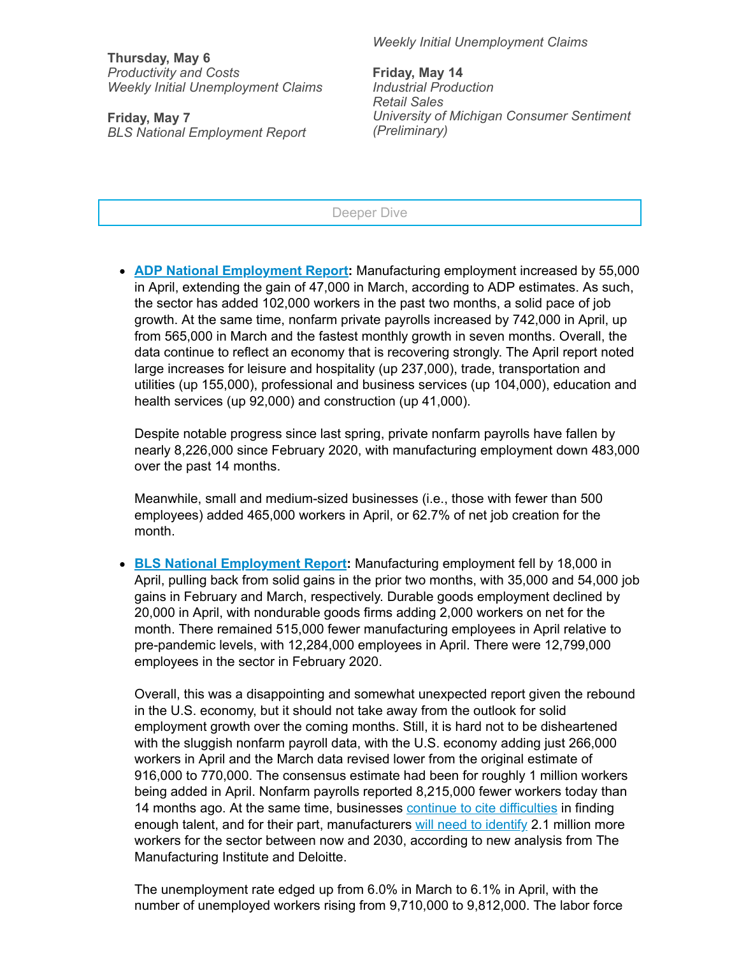**Thursday, May 6** *Productivity and Costs Weekly Initial Unemployment Claims*

**Friday, May 7** *BLS National Employment Report* *Weekly Initial Unemployment Claims*

**Friday, May 14** *Industrial Production Retail Sales University of Michigan Consumer Sentiment (Preliminary)*

## Deeper Dive

**ADP National [Employment](https://click.email.nam.org/?qs=302f4531f32e0b53ea44b36902ec479af79d13ca15ba2b7322e46f7b62ed9bf0ec512bd3b2f8d47e6da58e649b408e1a954a160d6b0ac26c6abb3902c7eaa708) Report:** Manufacturing employment increased by 55,000 in April, extending the gain of 47,000 in March, according to ADP estimates. As such, the sector has added 102,000 workers in the past two months, a solid pace of job growth. At the same time, nonfarm private payrolls increased by 742,000 in April, up from 565,000 in March and the fastest monthly growth in seven months. Overall, the data continue to reflect an economy that is recovering strongly. The April report noted large increases for leisure and hospitality (up 237,000), trade, transportation and utilities (up 155,000), professional and business services (up 104,000), education and health services (up 92,000) and construction (up 41,000).

Despite notable progress since last spring, private nonfarm payrolls have fallen by nearly 8,226,000 since February 2020, with manufacturing employment down 483,000 over the past 14 months.

Meanwhile, small and medium-sized businesses (i.e., those with fewer than 500 employees) added 465,000 workers in April, or 62.7% of net job creation for the month.

**BLS National [Employment](https://click.email.nam.org/?qs=302f4531f32e0b53dc5aeefce8cf1acfa61820bbc6a417cea716432fd9ebb0ea323d63f4a1250710728cee375a94bda68d66800f809691088bcc37e99a0fbb24) Report:** Manufacturing employment fell by 18,000 in April, pulling back from solid gains in the prior two months, with 35,000 and 54,000 job gains in February and March, respectively. Durable goods employment declined by 20,000 in April, with nondurable goods firms adding 2,000 workers on net for the month. There remained 515,000 fewer manufacturing employees in April relative to pre-pandemic levels, with 12,284,000 employees in April. There were 12,799,000 employees in the sector in February 2020.

Overall, this was a disappointing and somewhat unexpected report given the rebound in the U.S. economy, but it should not take away from the outlook for solid employment growth over the coming months. Still, it is hard not to be disheartened with the sluggish nonfarm payroll data, with the U.S. economy adding just 266,000 workers in April and the March data revised lower from the original estimate of 916,000 to 770,000. The consensus estimate had been for roughly 1 million workers being added in April. Nonfarm payrolls reported 8,215,000 fewer workers today than 14 months ago. At the same time, businesses **continue to cite [difficulties](https://click.email.nam.org/?qs=302f4531f32e0b53eac468833fa8b6001a15a9d346ea1a1e8151d9700065f1f23b2b13b23ac86b99fbe5fe2a07572d0a7cddc3c2fe95cb8d1372bce8728220f6)** in finding enough talent, and for their part, manufacturers will need to [identify](https://click.email.nam.org/?qs=302f4531f32e0b537f78f04d4cac1594f164cd6173fd41844b17d237e3470c43aa21c7069705db9d6112d01d5c25742e675f7c786298145558418ccb93994766) 2.1 million more workers for the sector between now and 2030, according to new analysis from The Manufacturing Institute and Deloitte.

The unemployment rate edged up from 6.0% in March to 6.1% in April, with the number of unemployed workers rising from 9,710,000 to 9,812,000. The labor force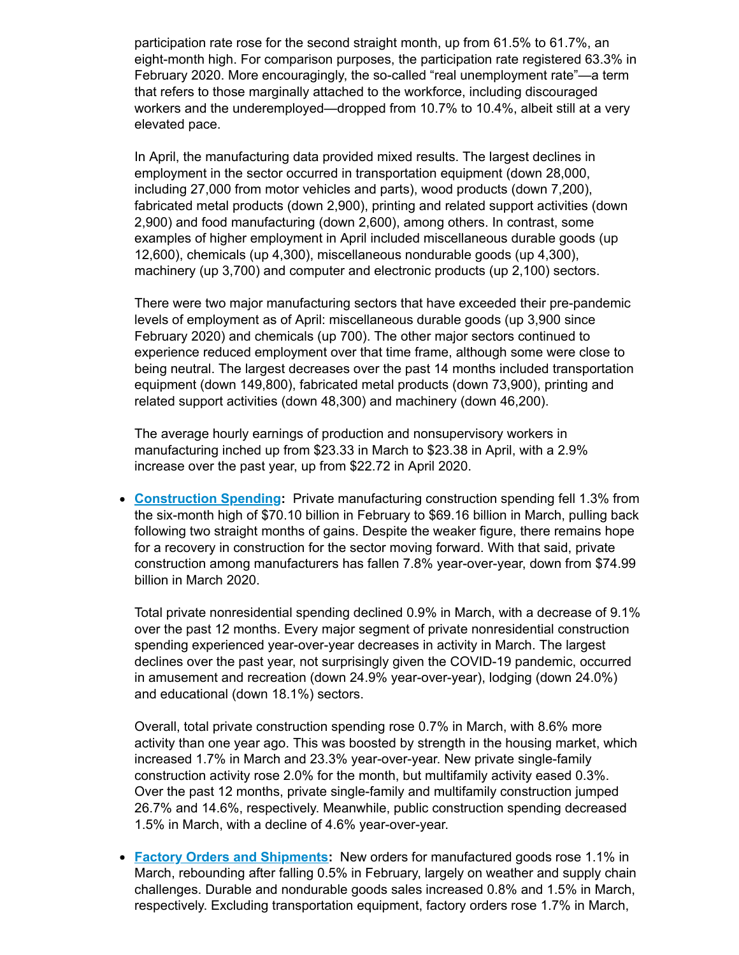participation rate rose for the second straight month, up from 61.5% to 61.7%, an eight-month high. For comparison purposes, the participation rate registered 63.3% in February 2020. More encouragingly, the so-called "real unemployment rate"—a term that refers to those marginally attached to the workforce, including discouraged workers and the underemployed—dropped from 10.7% to 10.4%, albeit still at a very elevated pace.

In April, the manufacturing data provided mixed results. The largest declines in employment in the sector occurred in transportation equipment (down 28,000, including 27,000 from motor vehicles and parts), wood products (down 7,200), fabricated metal products (down 2,900), printing and related support activities (down 2,900) and food manufacturing (down 2,600), among others. In contrast, some examples of higher employment in April included miscellaneous durable goods (up 12,600), chemicals (up 4,300), miscellaneous nondurable goods (up 4,300), machinery (up 3,700) and computer and electronic products (up 2,100) sectors.

There were two major manufacturing sectors that have exceeded their pre-pandemic levels of employment as of April: miscellaneous durable goods (up 3,900 since February 2020) and chemicals (up 700). The other major sectors continued to experience reduced employment over that time frame, although some were close to being neutral. The largest decreases over the past 14 months included transportation equipment (down 149,800), fabricated metal products (down 73,900), printing and related support activities (down 48,300) and machinery (down 46,200).

The average hourly earnings of production and nonsupervisory workers in manufacturing inched up from \$23.33 in March to \$23.38 in April, with a 2.9% increase over the past year, up from \$22.72 in April 2020.

**[Construction](https://click.email.nam.org/?qs=302f4531f32e0b537886c46c12a70c54ea3d3c7259905007f08f9ae3dc78cb9c40e626a129c9975ae63f7e14ea98c1bfa09c554e7c24b944942d931f3a8eaf72) Spending:** Private manufacturing construction spending fell 1.3% from the six-month high of \$70.10 billion in February to \$69.16 billion in March, pulling back following two straight months of gains. Despite the weaker figure, there remains hope for a recovery in construction for the sector moving forward. With that said, private construction among manufacturers has fallen 7.8% year-over-year, down from \$74.99 billion in March 2020.

Total private nonresidential spending declined 0.9% in March, with a decrease of 9.1% over the past 12 months. Every major segment of private nonresidential construction spending experienced year-over-year decreases in activity in March. The largest declines over the past year, not surprisingly given the COVID-19 pandemic, occurred in amusement and recreation (down 24.9% year-over-year), lodging (down 24.0%) and educational (down 18.1%) sectors.

Overall, total private construction spending rose 0.7% in March, with 8.6% more activity than one year ago. This was boosted by strength in the housing market, which increased 1.7% in March and 23.3% year-over-year. New private single-family construction activity rose 2.0% for the month, but multifamily activity eased 0.3%. Over the past 12 months, private single-family and multifamily construction jumped 26.7% and 14.6%, respectively. Meanwhile, public construction spending decreased 1.5% in March, with a decline of 4.6% year-over-year.

**Factory Orders and [Shipments](https://click.email.nam.org/?qs=302f4531f32e0b53e156746c89300c203c39fcb0c07c1e6307ae9adcf13c46d048644c0e751d3df51358595a7824e199342a40333efa86f345d31cf24d135563):** New orders for manufactured goods rose 1.1% in March, rebounding after falling 0.5% in February, largely on weather and supply chain challenges. Durable and nondurable goods sales increased 0.8% and 1.5% in March, respectively. Excluding transportation equipment, factory orders rose 1.7% in March,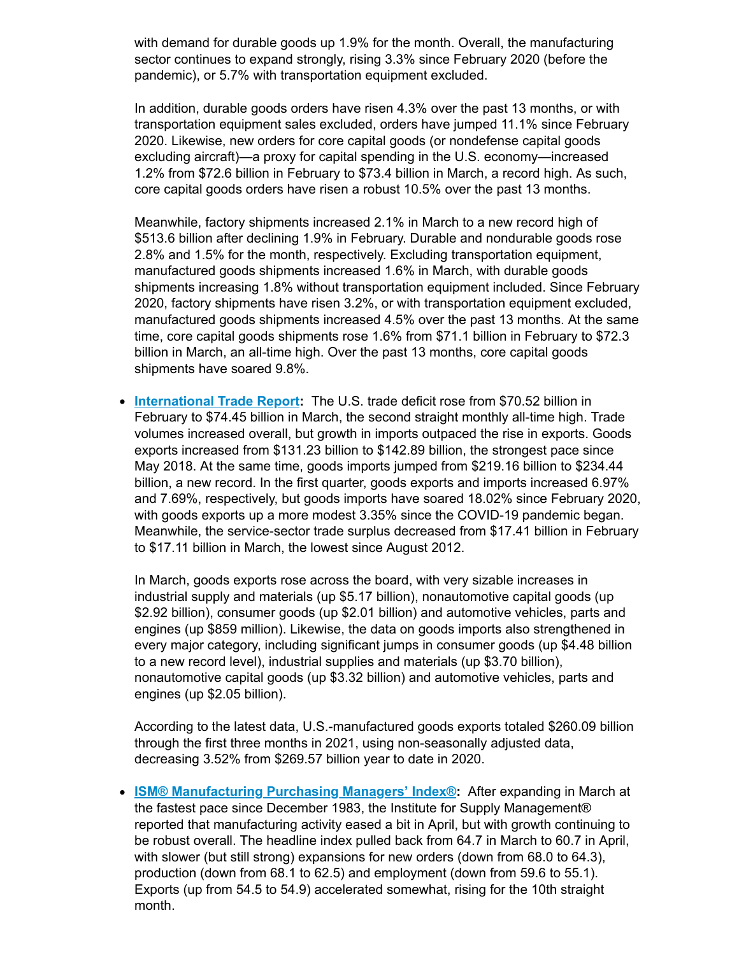with demand for durable goods up 1.9% for the month. Overall, the manufacturing sector continues to expand strongly, rising 3.3% since February 2020 (before the pandemic), or 5.7% with transportation equipment excluded.

In addition, durable goods orders have risen 4.3% over the past 13 months, or with transportation equipment sales excluded, orders have jumped 11.1% since February 2020. Likewise, new orders for core capital goods (or nondefense capital goods excluding aircraft)—a proxy for capital spending in the U.S. economy—increased 1.2% from \$72.6 billion in February to \$73.4 billion in March, a record high. As such, core capital goods orders have risen a robust 10.5% over the past 13 months.

Meanwhile, factory shipments increased 2.1% in March to a new record high of \$513.6 billion after declining 1.9% in February. Durable and nondurable goods rose 2.8% and 1.5% for the month, respectively. Excluding transportation equipment, manufactured goods shipments increased 1.6% in March, with durable goods shipments increasing 1.8% without transportation equipment included. Since February 2020, factory shipments have risen 3.2%, or with transportation equipment excluded, manufactured goods shipments increased 4.5% over the past 13 months. At the same time, core capital goods shipments rose 1.6% from \$71.1 billion in February to \$72.3 billion in March, an all-time high. Over the past 13 months, core capital goods shipments have soared 9.8%.

**[International](https://click.email.nam.org/?qs=302f4531f32e0b536df58d4c72e3b1c1c2862406f16f386fcc67bb89cdec9fd08bf722bdf25e7a7a508d29beef9936d015a3fb2be924eb7273f66a47bc69960e) Trade Report:** The U.S. trade deficit rose from \$70.52 billion in February to \$74.45 billion in March, the second straight monthly all-time high. Trade volumes increased overall, but growth in imports outpaced the rise in exports. Goods exports increased from \$131.23 billion to \$142.89 billion, the strongest pace since May 2018. At the same time, goods imports jumped from \$219.16 billion to \$234.44 billion, a new record. In the first quarter, goods exports and imports increased 6.97% and 7.69%, respectively, but goods imports have soared 18.02% since February 2020, with goods exports up a more modest 3.35% since the COVID-19 pandemic began. Meanwhile, the service-sector trade surplus decreased from \$17.41 billion in February to \$17.11 billion in March, the lowest since August 2012.

In March, goods exports rose across the board, with very sizable increases in industrial supply and materials (up \$5.17 billion), nonautomotive capital goods (up \$2.92 billion), consumer goods (up \$2.01 billion) and automotive vehicles, parts and engines (up \$859 million). Likewise, the data on goods imports also strengthened in every major category, including significant jumps in consumer goods (up \$4.48 billion to a new record level), industrial supplies and materials (up \$3.70 billion), nonautomotive capital goods (up \$3.32 billion) and automotive vehicles, parts and engines (up \$2.05 billion).

According to the latest data, U.S.-manufactured goods exports totaled \$260.09 billion through the first three months in 2021, using non-seasonally adjusted data, decreasing 3.52% from \$269.57 billion year to date in 2020.

**ISM® [Manufacturing](https://click.email.nam.org/?qs=302f4531f32e0b531c12db946b4c14eec7516f3ad99fa413b7be329fff14827e1b9b34f2a4d229fdab01f4f4f2add5a65394509bbb854e5b0670e0d0b4a7d714) Purchasing Managers' Index®:** After expanding in March at the fastest pace since December 1983, the Institute for Supply Management® reported that manufacturing activity eased a bit in April, but with growth continuing to be robust overall. The headline index pulled back from 64.7 in March to 60.7 in April, with slower (but still strong) expansions for new orders (down from 68.0 to 64.3), production (down from 68.1 to 62.5) and employment (down from 59.6 to 55.1). Exports (up from 54.5 to 54.9) accelerated somewhat, rising for the 10th straight month.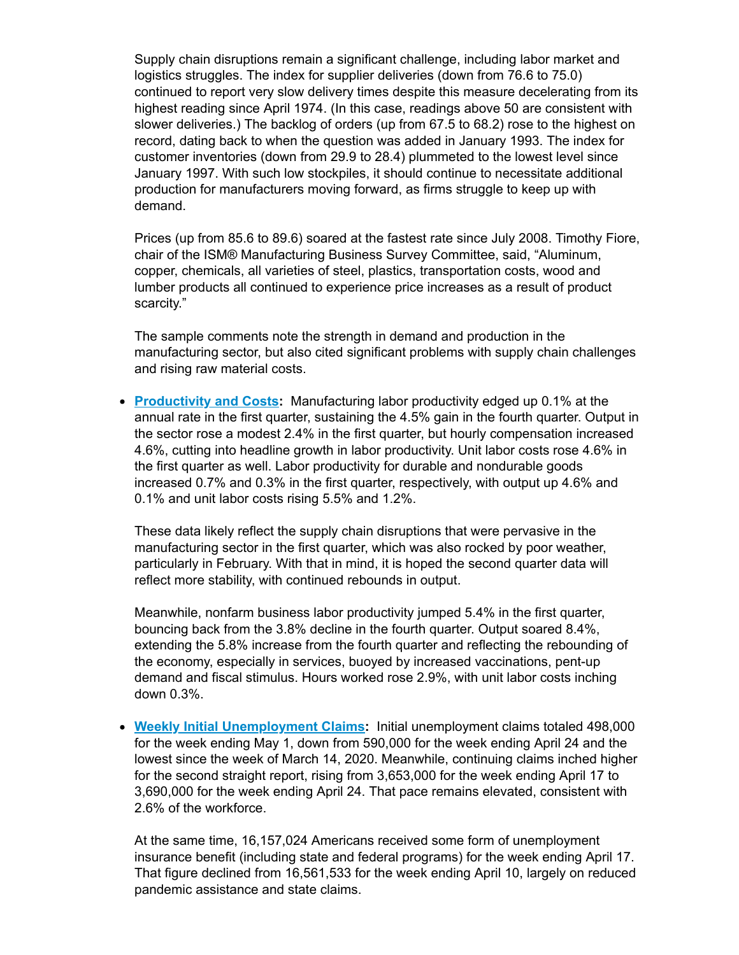Supply chain disruptions remain a significant challenge, including labor market and logistics struggles. The index for supplier deliveries (down from 76.6 to 75.0) continued to report very slow delivery times despite this measure decelerating from its highest reading since April 1974. (In this case, readings above 50 are consistent with slower deliveries.) The backlog of orders (up from 67.5 to 68.2) rose to the highest on record, dating back to when the question was added in January 1993. The index for customer inventories (down from 29.9 to 28.4) plummeted to the lowest level since January 1997. With such low stockpiles, it should continue to necessitate additional production for manufacturers moving forward, as firms struggle to keep up with demand.

Prices (up from 85.6 to 89.6) soared at the fastest rate since July 2008. Timothy Fiore, chair of the ISM® Manufacturing Business Survey Committee, said, "Aluminum, copper, chemicals, all varieties of steel, plastics, transportation costs, wood and lumber products all continued to experience price increases as a result of product scarcity."

The sample comments note the strength in demand and production in the manufacturing sector, but also cited significant problems with supply chain challenges and rising raw material costs.

**[Productivity](https://click.email.nam.org/?qs=302f4531f32e0b53156f8dcdc871725e6193357598944ab37139567784ae9848bacc21e380ded9590f6f244e014382975a6181759f75007e69b7f57dd63a51a4) and Costs:** Manufacturing labor productivity edged up 0.1% at the annual rate in the first quarter, sustaining the 4.5% gain in the fourth quarter. Output in the sector rose a modest 2.4% in the first quarter, but hourly compensation increased 4.6%, cutting into headline growth in labor productivity. Unit labor costs rose 4.6% in the first quarter as well. Labor productivity for durable and nondurable goods increased 0.7% and 0.3% in the first quarter, respectively, with output up 4.6% and 0.1% and unit labor costs rising 5.5% and 1.2%.

These data likely reflect the supply chain disruptions that were pervasive in the manufacturing sector in the first quarter, which was also rocked by poor weather, particularly in February. With that in mind, it is hoped the second quarter data will reflect more stability, with continued rebounds in output.

Meanwhile, nonfarm business labor productivity jumped 5.4% in the first quarter, bouncing back from the 3.8% decline in the fourth quarter. Output soared 8.4%, extending the 5.8% increase from the fourth quarter and reflecting the rebounding of the economy, especially in services, buoyed by increased vaccinations, pent-up demand and fiscal stimulus. Hours worked rose 2.9%, with unit labor costs inching down 0.3%.

**Weekly Initial [Unemployment](https://click.email.nam.org/?qs=302f4531f32e0b531096ed3cfb6ccc66864c1daa022373f8b9cca14c70cb6b50c289e48bc3aeef55c698ed26b76575ea22a9a6410bd7309b5e10ab116580f33c) Claims:** Initial unemployment claims totaled 498,000 for the week ending May 1, down from 590,000 for the week ending April 24 and the lowest since the week of March 14, 2020. Meanwhile, continuing claims inched higher for the second straight report, rising from 3,653,000 for the week ending April 17 to 3,690,000 for the week ending April 24. That pace remains elevated, consistent with 2.6% of the workforce.

At the same time, 16,157,024 Americans received some form of unemployment insurance benefit (including state and federal programs) for the week ending April 17. That figure declined from 16,561,533 for the week ending April 10, largely on reduced pandemic assistance and state claims.